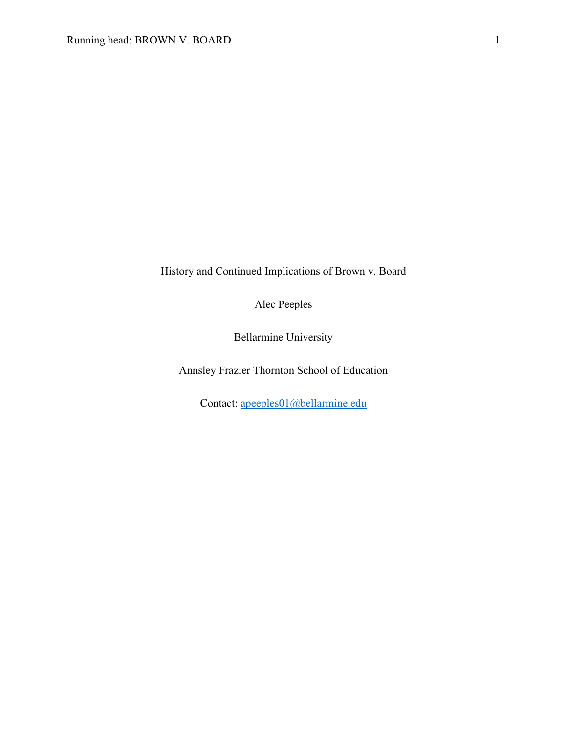History and Continued Implications of Brown v. Board

Alec Peeples

Bellarmine University

Annsley Frazier Thornton School of Education

Contact: apeeples01@bellarmine.edu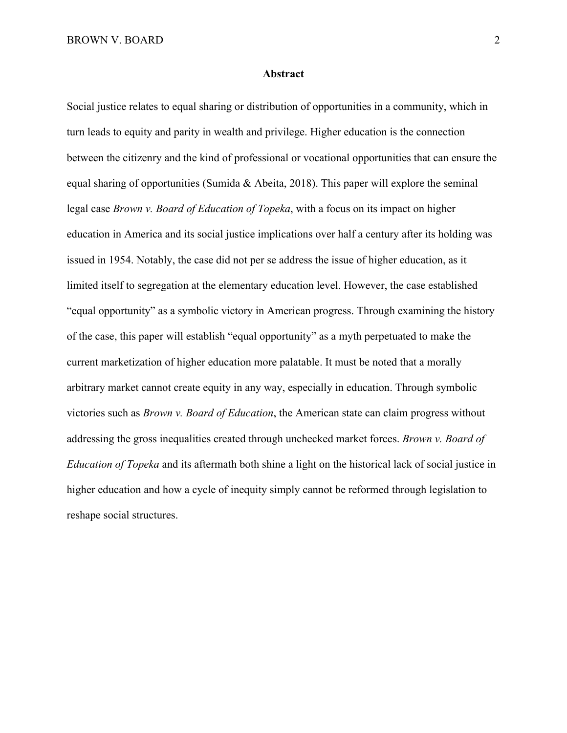#### **Abstract**

Social justice relates to equal sharing or distribution of opportunities in a community, which in turn leads to equity and parity in wealth and privilege. Higher education is the connection between the citizenry and the kind of professional or vocational opportunities that can ensure the equal sharing of opportunities (Sumida & Abeita, 2018). This paper will explore the seminal legal case *Brown v. Board of Education of Topeka*, with a focus on its impact on higher education in America and its social justice implications over half a century after its holding was issued in 1954. Notably, the case did not per se address the issue of higher education, as it limited itself to segregation at the elementary education level. However, the case established "equal opportunity" as a symbolic victory in American progress. Through examining the history of the case, this paper will establish "equal opportunity" as a myth perpetuated to make the current marketization of higher education more palatable. It must be noted that a morally arbitrary market cannot create equity in any way, especially in education. Through symbolic victories such as *Brown v. Board of Education*, the American state can claim progress without addressing the gross inequalities created through unchecked market forces. *Brown v. Board of Education of Topeka* and its aftermath both shine a light on the historical lack of social justice in higher education and how a cycle of inequity simply cannot be reformed through legislation to reshape social structures.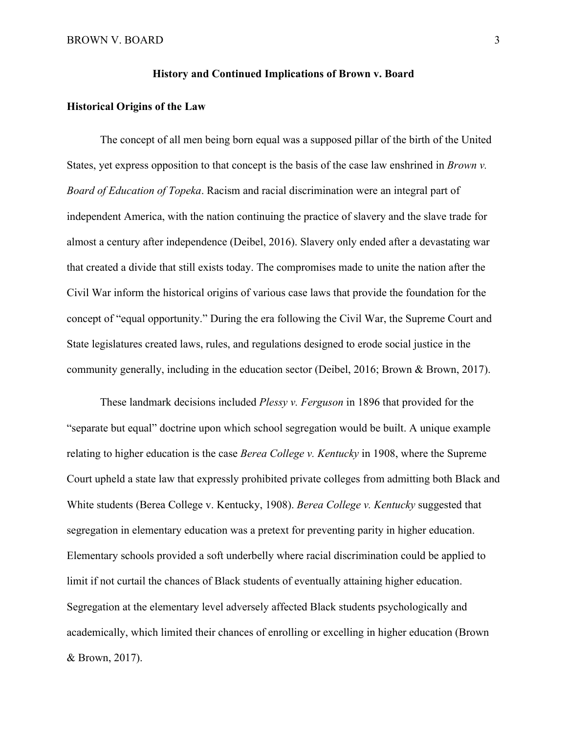#### **History and Continued Implications of Brown v. Board**

## **Historical Origins of the Law**

The concept of all men being born equal was a supposed pillar of the birth of the United States, yet express opposition to that concept is the basis of the case law enshrined in *Brown v. Board of Education of Topeka*. Racism and racial discrimination were an integral part of independent America, with the nation continuing the practice of slavery and the slave trade for almost a century after independence (Deibel, 2016). Slavery only ended after a devastating war that created a divide that still exists today. The compromises made to unite the nation after the Civil War inform the historical origins of various case laws that provide the foundation for the concept of "equal opportunity." During the era following the Civil War, the Supreme Court and State legislatures created laws, rules, and regulations designed to erode social justice in the community generally, including in the education sector (Deibel, 2016; Brown & Brown, 2017).

These landmark decisions included *Plessy v. Ferguson* in 1896 that provided for the "separate but equal" doctrine upon which school segregation would be built. A unique example relating to higher education is the case *Berea College v. Kentucky* in 1908, where the Supreme Court upheld a state law that expressly prohibited private colleges from admitting both Black and White students (Berea College v. Kentucky, 1908). *Berea College v. Kentucky* suggested that segregation in elementary education was a pretext for preventing parity in higher education. Elementary schools provided a soft underbelly where racial discrimination could be applied to limit if not curtail the chances of Black students of eventually attaining higher education. Segregation at the elementary level adversely affected Black students psychologically and academically, which limited their chances of enrolling or excelling in higher education (Brown & Brown, 2017).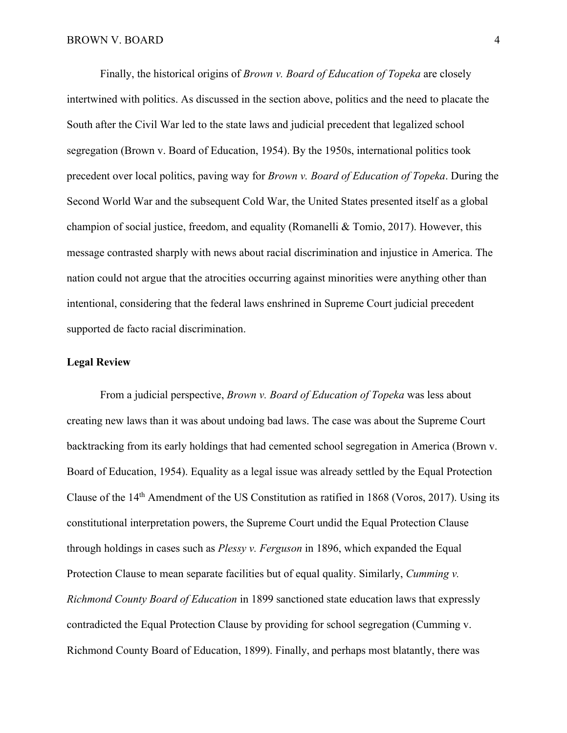Finally, the historical origins of *Brown v. Board of Education of Topeka* are closely intertwined with politics. As discussed in the section above, politics and the need to placate the South after the Civil War led to the state laws and judicial precedent that legalized school segregation (Brown v. Board of Education, 1954). By the 1950s, international politics took precedent over local politics, paving way for *Brown v. Board of Education of Topeka*. During the Second World War and the subsequent Cold War, the United States presented itself as a global champion of social justice, freedom, and equality (Romanelli & Tomio, 2017). However, this message contrasted sharply with news about racial discrimination and injustice in America. The nation could not argue that the atrocities occurring against minorities were anything other than intentional, considering that the federal laws enshrined in Supreme Court judicial precedent supported de facto racial discrimination.

## **Legal Review**

From a judicial perspective, *Brown v. Board of Education of Topeka* was less about creating new laws than it was about undoing bad laws. The case was about the Supreme Court backtracking from its early holdings that had cemented school segregation in America (Brown v. Board of Education, 1954). Equality as a legal issue was already settled by the Equal Protection Clause of the 14th Amendment of the US Constitution as ratified in 1868 (Voros, 2017). Using its constitutional interpretation powers, the Supreme Court undid the Equal Protection Clause through holdings in cases such as *Plessy v. Ferguson* in 1896, which expanded the Equal Protection Clause to mean separate facilities but of equal quality. Similarly, *Cumming v. Richmond County Board of Education* in 1899 sanctioned state education laws that expressly contradicted the Equal Protection Clause by providing for school segregation (Cumming v. Richmond County Board of Education, 1899). Finally, and perhaps most blatantly, there was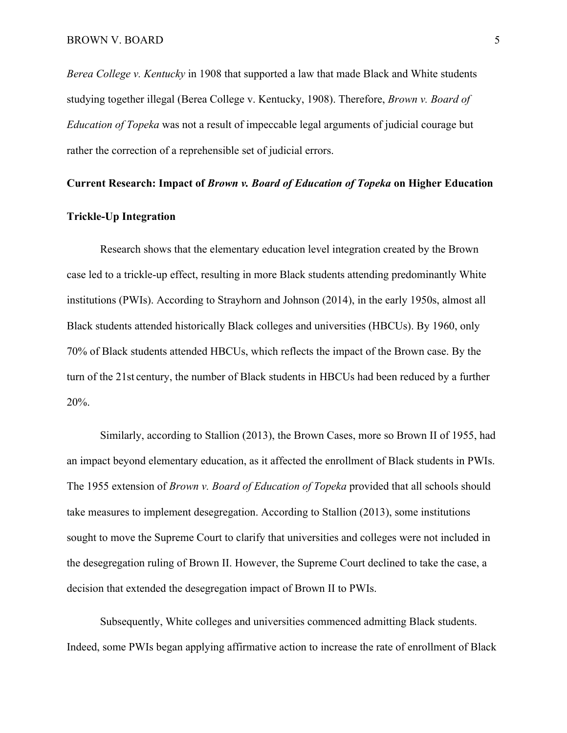*Berea College v. Kentucky* in 1908 that supported a law that made Black and White students studying together illegal (Berea College v. Kentucky, 1908). Therefore, *Brown v. Board of Education of Topeka* was not a result of impeccable legal arguments of judicial courage but rather the correction of a reprehensible set of judicial errors.

#### **Current Research: Impact of** *Brown v. Board of Education of Topeka* **on Higher Education**

# **Trickle-Up Integration**

Research shows that the elementary education level integration created by the Brown case led to a trickle-up effect, resulting in more Black students attending predominantly White institutions (PWIs). According to Strayhorn and Johnson (2014), in the early 1950s, almost all Black students attended historically Black colleges and universities (HBCUs). By 1960, only 70% of Black students attended HBCUs, which reflects the impact of the Brown case. By the turn of the 21st century, the number of Black students in HBCUs had been reduced by a further 20%.

Similarly, according to Stallion (2013), the Brown Cases, more so Brown II of 1955, had an impact beyond elementary education, as it affected the enrollment of Black students in PWIs. The 1955 extension of *Brown v. Board of Education of Topeka* provided that all schools should take measures to implement desegregation. According to Stallion (2013), some institutions sought to move the Supreme Court to clarify that universities and colleges were not included in the desegregation ruling of Brown II. However, the Supreme Court declined to take the case, a decision that extended the desegregation impact of Brown II to PWIs.

Subsequently, White colleges and universities commenced admitting Black students. Indeed, some PWIs began applying affirmative action to increase the rate of enrollment of Black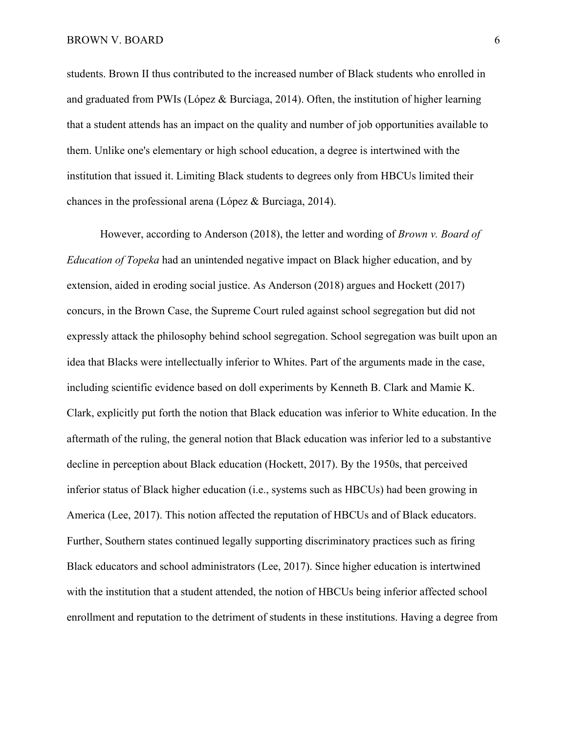students. Brown II thus contributed to the increased number of Black students who enrolled in and graduated from PWIs (López & Burciaga, 2014). Often, the institution of higher learning that a student attends has an impact on the quality and number of job opportunities available to them. Unlike one's elementary or high school education, a degree is intertwined with the institution that issued it. Limiting Black students to degrees only from HBCUs limited their chances in the professional arena (López & Burciaga, 2014).

However, according to Anderson (2018), the letter and wording of *Brown v. Board of Education of Topeka* had an unintended negative impact on Black higher education, and by extension, aided in eroding social justice. As Anderson (2018) argues and Hockett (2017) concurs, in the Brown Case, the Supreme Court ruled against school segregation but did not expressly attack the philosophy behind school segregation. School segregation was built upon an idea that Blacks were intellectually inferior to Whites. Part of the arguments made in the case, including scientific evidence based on doll experiments by Kenneth B. Clark and Mamie K. Clark, explicitly put forth the notion that Black education was inferior to White education. In the aftermath of the ruling, the general notion that Black education was inferior led to a substantive decline in perception about Black education (Hockett, 2017). By the 1950s, that perceived inferior status of Black higher education (i.e., systems such as HBCUs) had been growing in America (Lee, 2017). This notion affected the reputation of HBCUs and of Black educators. Further, Southern states continued legally supporting discriminatory practices such as firing Black educators and school administrators (Lee, 2017). Since higher education is intertwined with the institution that a student attended, the notion of HBCUs being inferior affected school enrollment and reputation to the detriment of students in these institutions. Having a degree from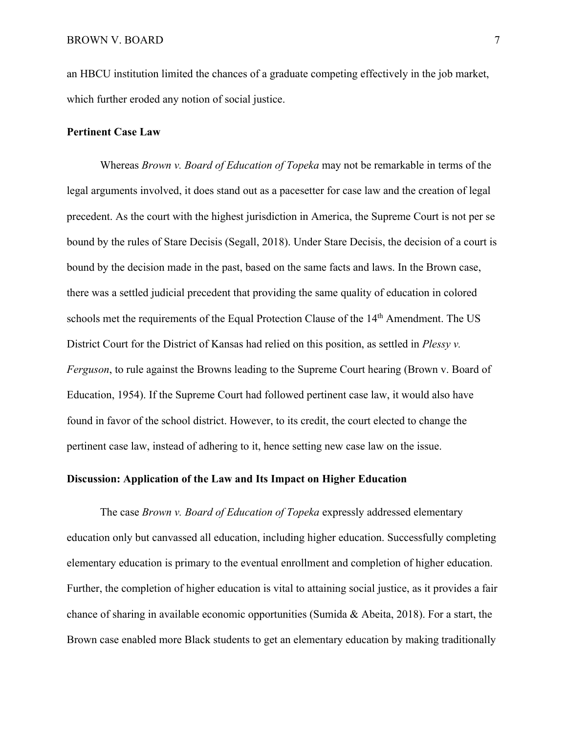an HBCU institution limited the chances of a graduate competing effectively in the job market, which further eroded any notion of social justice.

## **Pertinent Case Law**

Whereas *Brown v. Board of Education of Topeka* may not be remarkable in terms of the legal arguments involved, it does stand out as a pacesetter for case law and the creation of legal precedent. As the court with the highest jurisdiction in America, the Supreme Court is not per se bound by the rules of Stare Decisis (Segall, 2018). Under Stare Decisis, the decision of a court is bound by the decision made in the past, based on the same facts and laws. In the Brown case, there was a settled judicial precedent that providing the same quality of education in colored schools met the requirements of the Equal Protection Clause of the 14<sup>th</sup> Amendment. The US District Court for the District of Kansas had relied on this position, as settled in *Plessy v. Ferguson*, to rule against the Browns leading to the Supreme Court hearing (Brown v. Board of Education, 1954). If the Supreme Court had followed pertinent case law, it would also have found in favor of the school district. However, to its credit, the court elected to change the pertinent case law, instead of adhering to it, hence setting new case law on the issue.

# **Discussion: Application of the Law and Its Impact on Higher Education**

The case *Brown v. Board of Education of Topeka* expressly addressed elementary education only but canvassed all education, including higher education. Successfully completing elementary education is primary to the eventual enrollment and completion of higher education. Further, the completion of higher education is vital to attaining social justice, as it provides a fair chance of sharing in available economic opportunities (Sumida & Abeita, 2018). For a start, the Brown case enabled more Black students to get an elementary education by making traditionally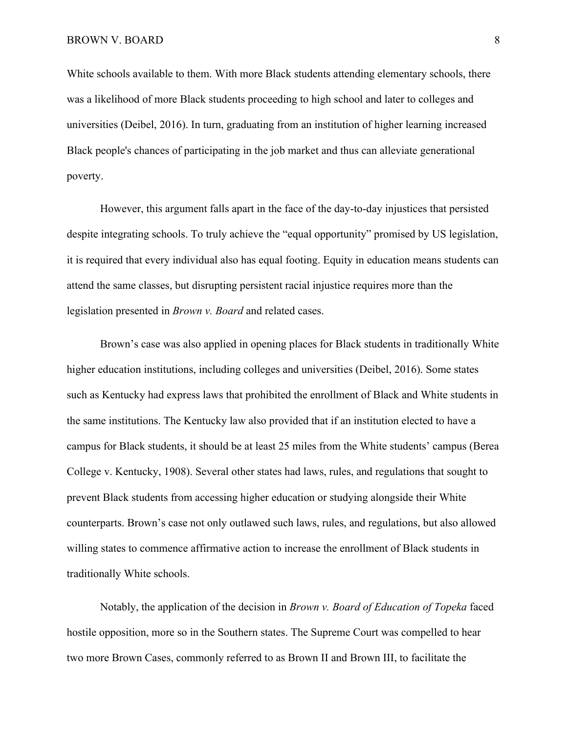White schools available to them. With more Black students attending elementary schools, there was a likelihood of more Black students proceeding to high school and later to colleges and universities (Deibel, 2016). In turn, graduating from an institution of higher learning increased Black people's chances of participating in the job market and thus can alleviate generational poverty.

However, this argument falls apart in the face of the day-to-day injustices that persisted despite integrating schools. To truly achieve the "equal opportunity" promised by US legislation, it is required that every individual also has equal footing. Equity in education means students can attend the same classes, but disrupting persistent racial injustice requires more than the legislation presented in *Brown v. Board* and related cases.

Brown's case was also applied in opening places for Black students in traditionally White higher education institutions, including colleges and universities (Deibel, 2016). Some states such as Kentucky had express laws that prohibited the enrollment of Black and White students in the same institutions. The Kentucky law also provided that if an institution elected to have a campus for Black students, it should be at least 25 miles from the White students' campus (Berea College v. Kentucky, 1908). Several other states had laws, rules, and regulations that sought to prevent Black students from accessing higher education or studying alongside their White counterparts. Brown's case not only outlawed such laws, rules, and regulations, but also allowed willing states to commence affirmative action to increase the enrollment of Black students in traditionally White schools.

Notably, the application of the decision in *Brown v. Board of Education of Topeka* faced hostile opposition, more so in the Southern states. The Supreme Court was compelled to hear two more Brown Cases, commonly referred to as Brown II and Brown III, to facilitate the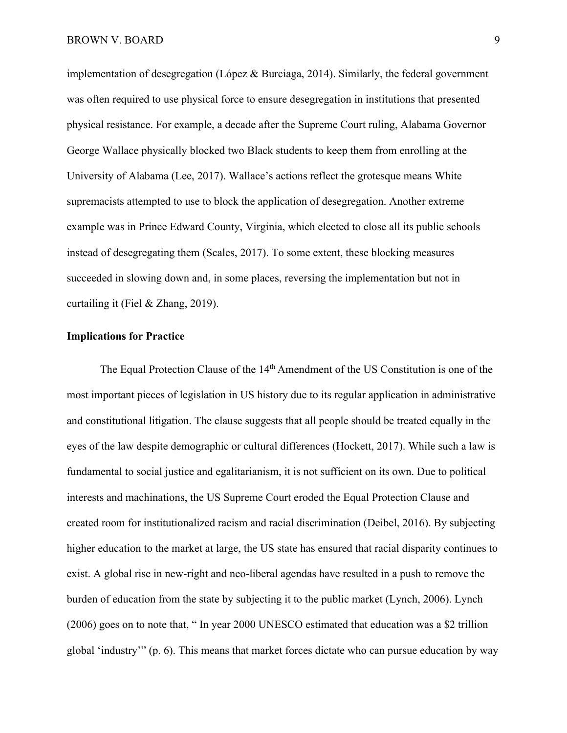implementation of desegregation (López & Burciaga, 2014). Similarly, the federal government was often required to use physical force to ensure desegregation in institutions that presented physical resistance. For example, a decade after the Supreme Court ruling, Alabama Governor George Wallace physically blocked two Black students to keep them from enrolling at the University of Alabama (Lee, 2017). Wallace's actions reflect the grotesque means White supremacists attempted to use to block the application of desegregation. Another extreme example was in Prince Edward County, Virginia, which elected to close all its public schools instead of desegregating them (Scales, 2017). To some extent, these blocking measures succeeded in slowing down and, in some places, reversing the implementation but not in curtailing it (Fiel & Zhang, 2019).

## **Implications for Practice**

The Equal Protection Clause of the 14<sup>th</sup> Amendment of the US Constitution is one of the most important pieces of legislation in US history due to its regular application in administrative and constitutional litigation. The clause suggests that all people should be treated equally in the eyes of the law despite demographic or cultural differences (Hockett, 2017). While such a law is fundamental to social justice and egalitarianism, it is not sufficient on its own. Due to political interests and machinations, the US Supreme Court eroded the Equal Protection Clause and created room for institutionalized racism and racial discrimination (Deibel, 2016). By subjecting higher education to the market at large, the US state has ensured that racial disparity continues to exist. A global rise in new-right and neo-liberal agendas have resulted in a push to remove the burden of education from the state by subjecting it to the public market (Lynch, 2006). Lynch (2006) goes on to note that, " In year 2000 UNESCO estimated that education was a \$2 trillion global 'industry'" (p. 6). This means that market forces dictate who can pursue education by way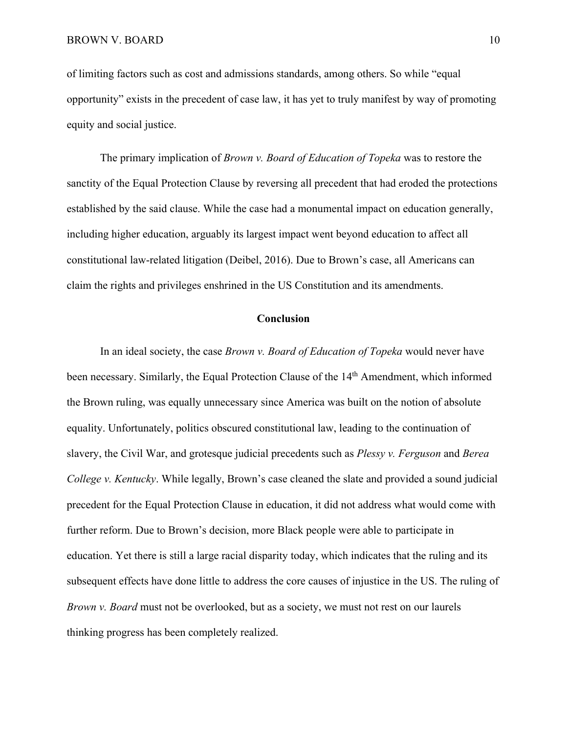of limiting factors such as cost and admissions standards, among others. So while "equal opportunity" exists in the precedent of case law, it has yet to truly manifest by way of promoting equity and social justice.

The primary implication of *Brown v. Board of Education of Topeka* was to restore the sanctity of the Equal Protection Clause by reversing all precedent that had eroded the protections established by the said clause. While the case had a monumental impact on education generally, including higher education, arguably its largest impact went beyond education to affect all constitutional law-related litigation (Deibel, 2016). Due to Brown's case, all Americans can claim the rights and privileges enshrined in the US Constitution and its amendments.

### **Conclusion**

In an ideal society, the case *Brown v. Board of Education of Topeka* would never have been necessary. Similarly, the Equal Protection Clause of the 14<sup>th</sup> Amendment, which informed the Brown ruling, was equally unnecessary since America was built on the notion of absolute equality. Unfortunately, politics obscured constitutional law, leading to the continuation of slavery, the Civil War, and grotesque judicial precedents such as *Plessy v. Ferguson* and *Berea College v. Kentucky*. While legally, Brown's case cleaned the slate and provided a sound judicial precedent for the Equal Protection Clause in education, it did not address what would come with further reform. Due to Brown's decision, more Black people were able to participate in education. Yet there is still a large racial disparity today, which indicates that the ruling and its subsequent effects have done little to address the core causes of injustice in the US. The ruling of *Brown v. Board* must not be overlooked, but as a society, we must not rest on our laurels thinking progress has been completely realized.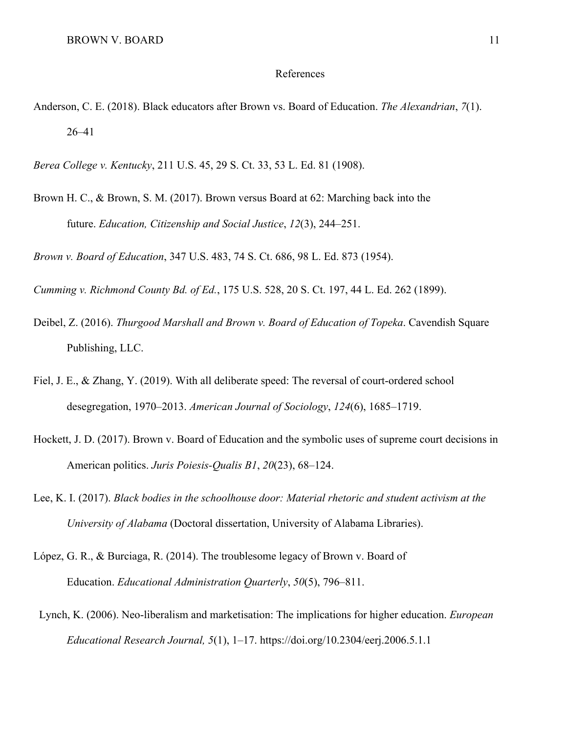#### References

- Anderson, C. E. (2018). Black educators after Brown vs. Board of Education. *The Alexandrian*, *7*(1). 26–41
- *Berea College v. Kentucky*, 211 U.S. 45, 29 S. Ct. 33, 53 L. Ed. 81 (1908).
- Brown H. C., & Brown, S. M. (2017). Brown versus Board at 62: Marching back into the future. *Education, Citizenship and Social Justice*, *12*(3), 244–251.

*Brown v. Board of Education*, 347 U.S. 483, 74 S. Ct. 686, 98 L. Ed. 873 (1954).

*Cumming v. Richmond County Bd. of Ed.*, 175 U.S. 528, 20 S. Ct. 197, 44 L. Ed. 262 (1899).

- Deibel, Z. (2016). *Thurgood Marshall and Brown v. Board of Education of Topeka*. Cavendish Square Publishing, LLC.
- Fiel, J. E., & Zhang, Y. (2019). With all deliberate speed: The reversal of court-ordered school desegregation, 1970–2013. *American Journal of Sociology*, *124*(6), 1685–1719.
- Hockett, J. D. (2017). Brown v. Board of Education and the symbolic uses of supreme court decisions in American politics. *Juris Poiesis-Qualis B1*, *20*(23), 68–124.
- Lee, K. I. (2017). *Black bodies in the schoolhouse door: Material rhetoric and student activism at the University of Alabama* (Doctoral dissertation, University of Alabama Libraries).
- López, G. R., & Burciaga, R. (2014). The troublesome legacy of Brown v. Board of Education. *Educational Administration Quarterly*, *50*(5), 796–811.
- Lynch, K. (2006). Neo-liberalism and marketisation: The implications for higher education. *European Educational Research Journal, 5*(1), 1–17. https://doi.org/10.2304/eerj.2006.5.1.1